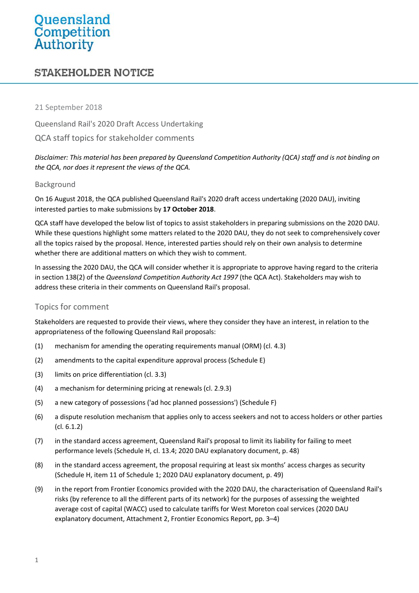# Queensland<br>Competition<br>Authority

# **STAKEHOLDER NOTICE**

#### 21 September 2018

Queensland Rail's 2020 Draft Access Undertaking QCA staff topics for stakeholder comments

*Disclaimer: This material has been prepared by Queensland Competition Authority (QCA) staff and is not binding on the QCA, nor does it represent the views of the QCA.*

#### Background

On 16 August 2018, the QCA published Queensland Rail's 2020 draft access undertaking (2020 DAU), inviting interested parties to make submissions by **17 October 2018**.

QCA staff have developed the below list of topics to assist stakeholders in preparing submissions on the 2020 DAU. While these questions highlight some matters related to the 2020 DAU, they do not seek to comprehensively cover all the topics raised by the proposal. Hence, interested parties should rely on their own analysis to determine whether there are additional matters on which they wish to comment.

In assessing the 2020 DAU, the QCA will consider whether it is appropriate to approve having regard to the criteria in section 138(2) of the *Queensland Competition Authority Act 1997* (the QCA Act). Stakeholders may wish to address these criteria in their comments on Queensland Rail's proposal.

# Topics for comment

Stakeholders are requested to provide their views, where they consider they have an interest, in relation to the appropriateness of the following Queensland Rail proposals:

- (1) mechanism for amending the operating requirements manual (ORM) (cl. 4.3)
- (2) amendments to the capital expenditure approval process (Schedule E)
- (3) limits on price differentiation (cl. 3.3)
- (4) a mechanism for determining pricing at renewals (cl. 2.9.3)
- (5) a new category of possessions ('ad hoc planned possessions') (Schedule F)
- (6) a dispute resolution mechanism that applies only to access seekers and not to access holders or other parties (cl. 6.1.2)
- (7) in the standard access agreement, Queensland Rail's proposal to limit its liability for failing to meet performance levels (Schedule H, cl. 13.4; 2020 DAU explanatory document, p. 48)
- (8) in the standard access agreement, the proposal requiring at least six months' access charges as security (Schedule H, item 11 of Schedule 1; 2020 DAU explanatory document, p. 49)
- (9) in the report from Frontier Economics provided with the 2020 DAU, the characterisation of Queensland Rail's risks (by reference to all the different parts of its network) for the purposes of assessing the weighted average cost of capital (WACC) used to calculate tariffs for West Moreton coal services (2020 DAU explanatory document, Attachment 2, Frontier Economics Report, pp. 3–4)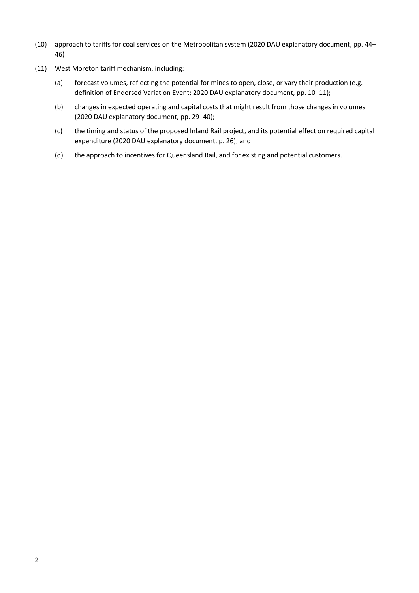- (10) approach to tariffs for coal services on the Metropolitan system (2020 DAU explanatory document, pp. 44– 46)
- (11) West Moreton tariff mechanism, including:
	- (a) forecast volumes, reflecting the potential for mines to open, close, or vary their production (e.g. definition of Endorsed Variation Event; 2020 DAU explanatory document, pp. 10–11);
	- (b) changes in expected operating and capital costs that might result from those changes in volumes (2020 DAU explanatory document, pp. 29–40);
	- (c) the timing and status of the proposed Inland Rail project, and its potential effect on required capital expenditure (2020 DAU explanatory document, p. 26); and
	- (d) the approach to incentives for Queensland Rail, and for existing and potential customers.